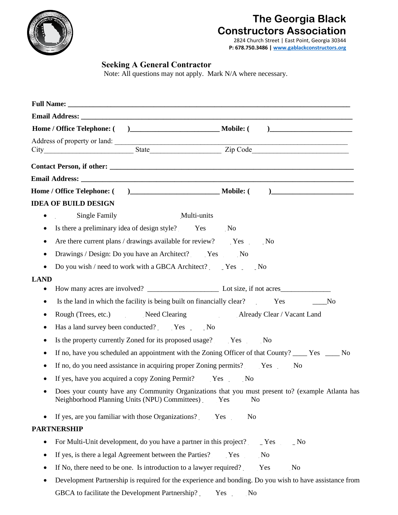

# **The Georgia Black Constructors Association**

2824 Church Street | East Point, Georgia 30344 **P: 678.750.3486 [| www.gablackconstructors.org](http://www.gablackconstructors.org/)**

## **Seeking A General Contractor**

Note: All questions may not apply. Mark N/A where necessary.

| Address of property or land:                                                                                                                      |                       |
|---------------------------------------------------------------------------------------------------------------------------------------------------|-----------------------|
| City State Zip Code                                                                                                                               |                       |
|                                                                                                                                                   |                       |
|                                                                                                                                                   |                       |
|                                                                                                                                                   |                       |
| <b>IDEA OF BUILD DESIGN</b>                                                                                                                       |                       |
| Multi-units<br>Single Family<br>٠                                                                                                                 |                       |
| Is there a preliminary idea of design style? Yes                                                                                                  | No                    |
| Are there current plans / drawings available for review? Yes No<br>٠                                                                              |                       |
| Drawings / Design: Do you have an Architect? Yes<br>٠                                                                                             | $\sim$ No             |
| Do you wish / need to work with a GBCA Architect? Yes No                                                                                          |                       |
| <b>LAND</b>                                                                                                                                       |                       |
| ٠                                                                                                                                                 |                       |
| Is the land in which the facility is being built on financially clear? Yes No<br>٠                                                                |                       |
| Rough (Trees, etc.) Need Clearing Already Clear / Vacant Land<br>٠                                                                                |                       |
| Has a land survey been conducted? Yes No                                                                                                          |                       |
| Is the property currently Zoned for its proposed usage? Yes No<br>٠                                                                               |                       |
| If no, have you scheduled an appointment with the Zoning Officer of that County? _____ Yes _____ No<br>٠                                          |                       |
| If no, do you need assistance in acquiring proper Zoning permits? Yes                                                                             | N <sub>0</sub>        |
| If yes, have you acquired a copy Zoning Permit? Yes No<br>٠                                                                                       |                       |
| Does your county have any Community Organizations that you must present to? (example Atlanta has<br>Neighborhood Planning Units (NPU) Committees) | Yes<br>N <sub>o</sub> |
| If yes, are you familiar with those Organizations?<br>٠                                                                                           | Yes<br>N <sub>o</sub> |
| <b>PARTNERSHIP</b>                                                                                                                                |                       |
| For Multi-Unit development, do you have a partner in this project?<br>٠                                                                           | $N$ o<br>Yes          |
| If yes, is there a legal Agreement between the Parties?<br>٠                                                                                      | $\overline{N}$<br>Yes |
| If No, there need to be one. Is introduction to a lawyer required?                                                                                | No<br>Yes             |
| Development Partnership is required for the experience and bonding. Do you wish to have assistance from<br>٠                                      |                       |

GBCA to facilitate the Development Partnership? \_\_\_\_ Yes \_\_\_\_ No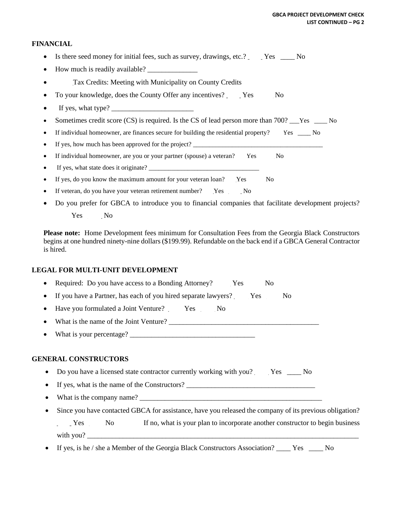### **FINANCIAL**

- Is there seed money for initial fees, such as survey, drawings, etc.? Fes \_\_\_\_\_ No
- How much is readily available?
- Tax Credits: Meeting with Municipality on County Credits
- To your knowledge, does the County Offer any incentives? Preshed No
- If yes, what type?
- Sometimes credit score (CS) is required. Is the CS of lead person more than 700? Fes Fig. 2. No
- If individual homeowner, are finances secure for building the residential property? Yes \_\_\_\_ No
- If yes, how much has been approved for the project?
- If individual homeowner, are you or your partner (spouse) a veteran? Yes No
- If yes, what state does it originate? \_\_\_\_\_\_\_\_\_\_\_\_\_\_\_\_\_\_\_\_\_\_\_\_\_\_\_\_\_\_\_\_\_\_
- If yes, do you know the maximum amount for your veteran loan? Yes No
- If veteran, do you have your veteran retirement number? Yes No
- Do you prefer for GBCA to introduce you to financial companies that facilitate development projects? Yes No

**Please note:** Home Development fees minimum for Consultation Fees from the Georgia Black Constructors begins at one hundred ninety-nine dollars (\$199.99). Refundable on the back end if a GBCA General Contractor is hired.

#### **LEGAL FOR MULTI-UNIT DEVELOPMENT**

|           | • Required: Do you have access to a Bonding Attorney? Yes<br>N <sub>o</sub>                             |
|-----------|---------------------------------------------------------------------------------------------------------|
|           | If you have a Partner, has each of you hired separate lawyers? Yes<br>N <sub>0</sub>                    |
|           | Have you formulated a Joint Venture? Yes No                                                             |
|           |                                                                                                         |
|           |                                                                                                         |
|           | • Do you have a licensed state contractor currently working with you? Yes ______ No                     |
|           | <b>GENERAL CONSTRUCTORS</b>                                                                             |
|           | • If yes, what is the name of the Constructors?                                                         |
| $\bullet$ | What is the company name?                                                                               |
|           | Since you have contacted GBCA for assistance, have you released the company of its previous obligation? |
|           |                                                                                                         |

with you? If yes, is he / she a Member of the Georgia Black Constructors Association? Yes No